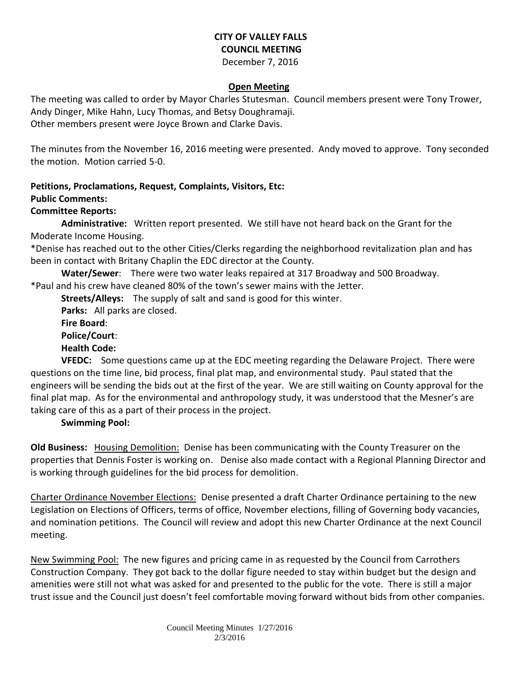# **CITY OF VALLEY FALLS COUNCIL MEETING**

December 7, 2016

### **Open Meeting**

The meeting was called to order by Mayor Charles Stutesman. Council members present were Tony Trower, Andy Dinger, Mike Hahn, Lucy Thomas, and Betsy Doughramaji. Other members present were Joyce Brown and Clarke Davis.

The minutes from the November 16, 2016 meeting were presented. Andy moved to approve. Tony seconded the motion. Motion carried 5-0.

## **Petitions, Proclamations, Request, Complaints, Visitors, Etc:**

#### **Public Comments:**

## **Committee Reports:**

**Administrative:** Written report presented. We still have not heard back on the Grant for the Moderate Income Housing.

\*Denise has reached out to the other Cities/Clerks regarding the neighborhood revitalization plan and has been in contact with Britany Chaplin the EDC director at the County.

**Water/Sewer**: There were two water leaks repaired at 317 Broadway and 500 Broadway.

\*Paul and his crew have cleaned 80% of the town's sewer mains with the Jetter.

**Streets/Alleys:** The supply of salt and sand is good for this winter.

**Parks:** All parks are closed.

**Fire Board**:

**Police/Court**:

**Health Code:** 

**VFEDC:** Some questions came up at the EDC meeting regarding the Delaware Project. There were questions on the time line, bid process, final plat map, and environmental study. Paul stated that the engineers will be sending the bids out at the first of the year. We are still waiting on County approval for the final plat map. As for the environmental and anthropology study, it was understood that the Mesner's are taking care of this as a part of their process in the project.

## **Swimming Pool:**

**Old Business:** Housing Demolition: Denise has been communicating with the County Treasurer on the properties that Dennis Foster is working on. Denise also made contact with a Regional Planning Director and is working through guidelines for the bid process for demolition.

Charter Ordinance November Elections: Denise presented a draft Charter Ordinance pertaining to the new Legislation on Elections of Officers, terms of office, November elections, filling of Governing body vacancies, and nomination petitions. The Council will review and adopt this new Charter Ordinance at the next Council meeting.

New Swimming Pool: The new figures and pricing came in as requested by the Council from Carrothers Construction Company. They got back to the dollar figure needed to stay within budget but the design and amenities were still not what was asked for and presented to the public for the vote. There is still a major trust issue and the Council just doesn't feel comfortable moving forward without bids from other companies.